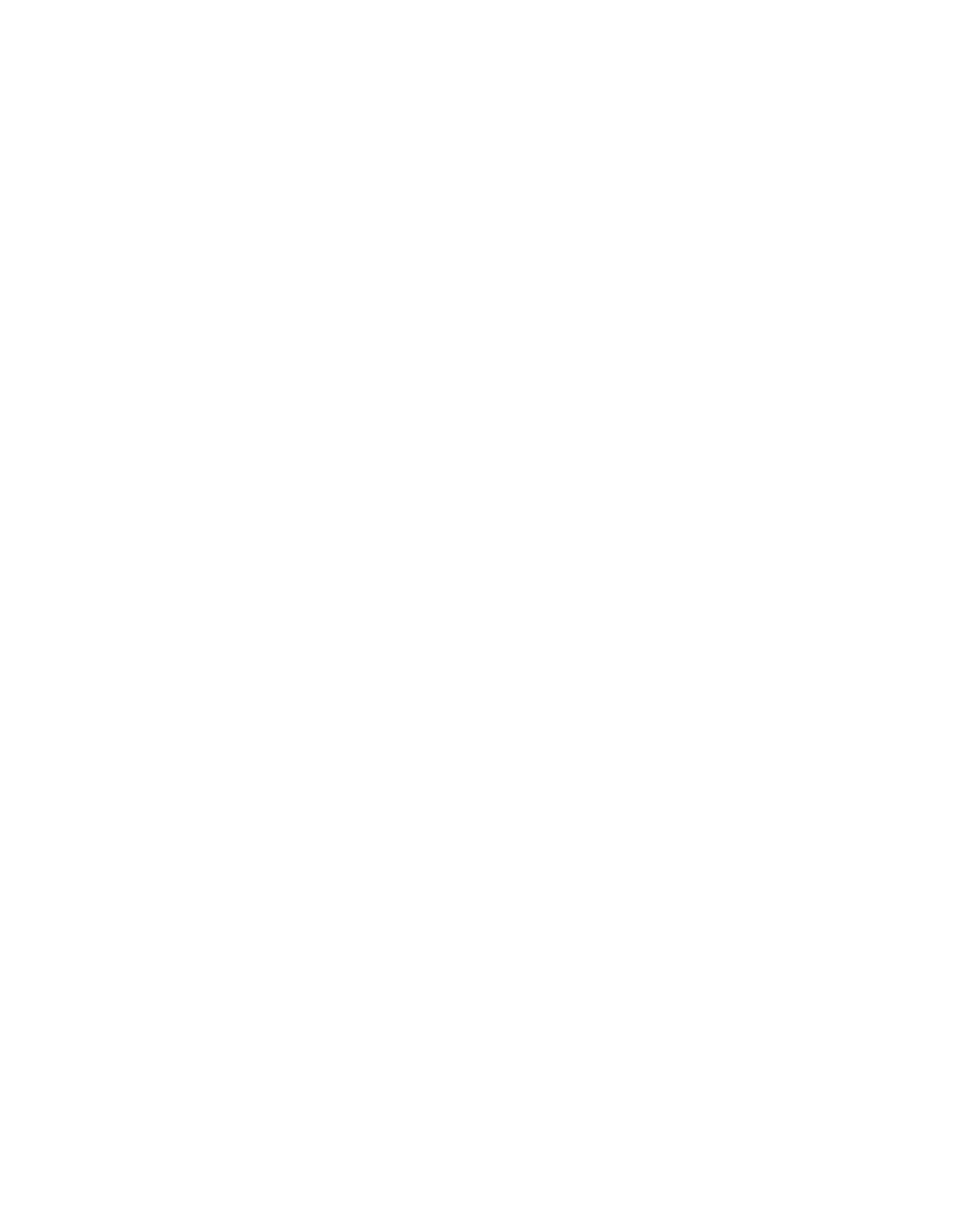

# Arkansas Department of Health

Arkansas State Board of Physical Therapy P.O. Box 250254 • Little Rock, AR 72225 • (501) 228-7100 • Fax: (501)228-0294 arptb@arkansas.gov • www.arptb.org **Governor Asa Hutchinson Jose' Romero, MD, Secretary of Health**

### **2021 Evaluation and Restructuring of Fees – Act 932**

Prior to approval of Act 932 of 2021, the Arkansas State Board of Physical Therapy approved revised rules to reduce fees on October 1, 2020. The rules amendments were approved by Arkansas Legislative Council on May 19, 2021 and went into effect on July 1, 2021 as follows:

Physical Therapists: Application Fee - \$50.00 Endorsement (Reciprocity) - \$160 100.00 Annual Renewals - \$75 70.00 Late Fee - \$100 Jurisprudence Examination Fee - \$10.00 Reinstatement Fee - \$75.00

Physical Therapist Assistants: Application Fee - \$50.00 Endorsement (Reciprocity) - \$<del>110</del> 100.00 Annual Renewals - \$50 45.00 Late Fee - \$100 Jurisprudence Examination Fee - \$10.00 Reinstatement Fee - \$50.00

#### **Fiscal Impact Statement**

In addition to the fee reductions shown above, the Board joined the Physical Therapy Compact on February 20, 2020, which reduced the number of reciprocity applications. Instead of applying by reciprocity, a licensee can receive Arkansas licensure privileges through the Physical Therapy Compact. A total of 24 states are members of the PT Compact. Six states have enacted legislation to join the PT Compact. Surrounding states issuing and accepting compact privileges are Georgia, Kentucky, Louisiana, Missouri, Mississippi, Oklahoma, Tennessee and Texas. Alabama and Kansas have enacted legislation to join the PT Compact. The fee paid to the Physical Therapy Compact by licensees for Arkansas privileges is \$50.00. It is estimated that the \$70.00 decrease in reciprocity fees and the decrease in reciprocity applications due to the compact will have a financial impact of approximately \$7,000.00 annually in the Board's income. As shown above, the renewal fee for all licensees was decreased by \$5.00. The \$5.00 will reduce fees by approximately \$19,500.00 in annual income for the Board. It is estimated that the reduction in fees will have a financial impact for the Board of approximately \$26,500.00 annually.

#### **Use of Licensure Fees**:

Payroll for two staff members Extra help (used mostly for renewal period) Stipends for board members Mileage for board members Investigation (if needed for complaints) Various monthly expenses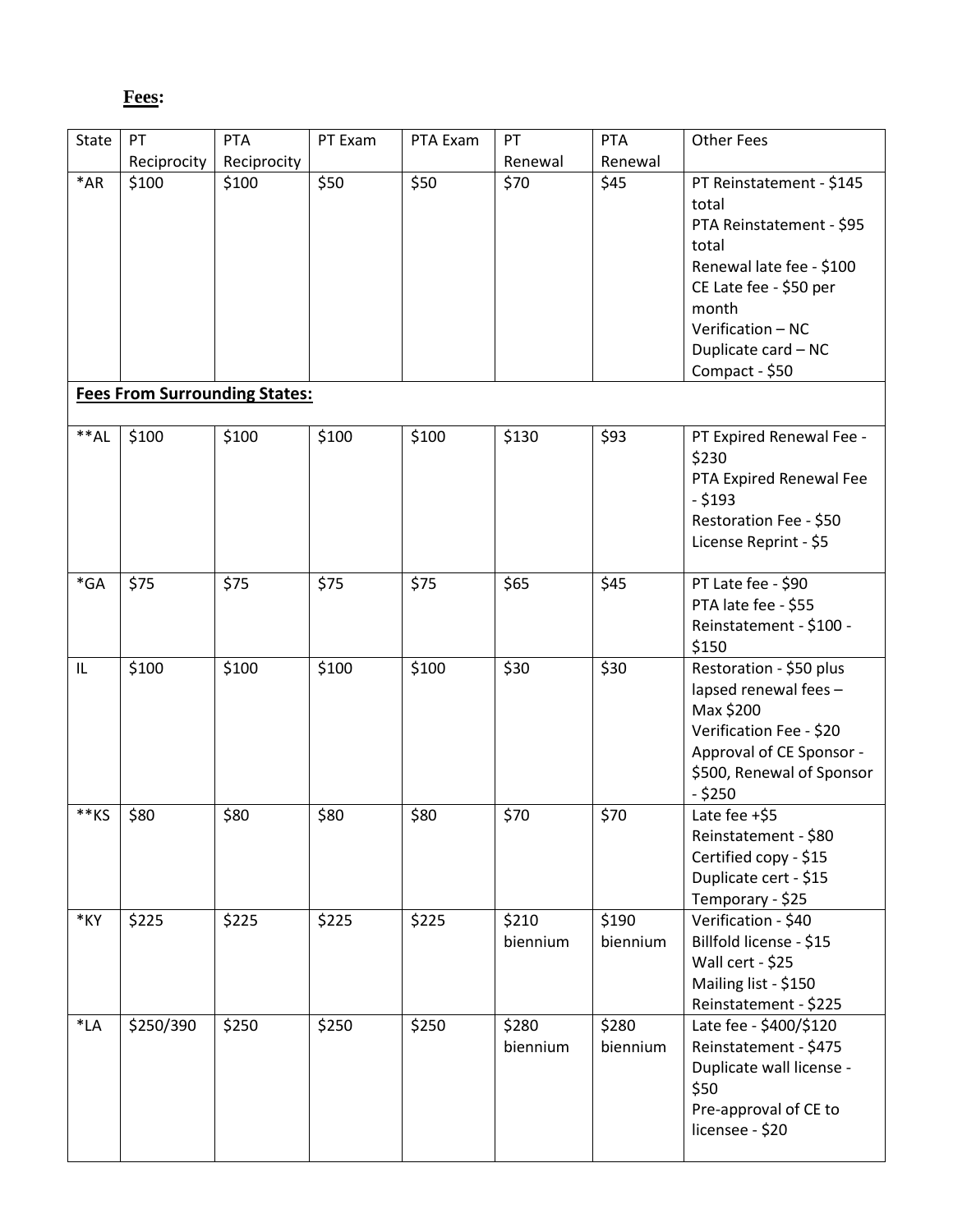## **Fees:**

| State  | PT          | <b>PTA</b>                           | PT Exam | PTA Exam | PT                | <b>PTA</b>        | <b>Other Fees</b>                                                                                                                                                                                   |
|--------|-------------|--------------------------------------|---------|----------|-------------------|-------------------|-----------------------------------------------------------------------------------------------------------------------------------------------------------------------------------------------------|
|        | Reciprocity | Reciprocity                          |         |          | Renewal           | Renewal           |                                                                                                                                                                                                     |
| $*AR$  | \$100       | \$100                                | \$50    | \$50     | \$70              | \$45              | PT Reinstatement - \$145<br>total<br>PTA Reinstatement - \$95<br>total<br>Renewal late fee - \$100<br>CE Late fee - \$50 per<br>month<br>Verification - NC<br>Duplicate card - NC<br>Compact - \$50 |
|        |             | <b>Fees From Surrounding States:</b> |         |          |                   |                   |                                                                                                                                                                                                     |
| $**AL$ | \$100       | \$100                                | \$100   | \$100    | \$130             | \$93              | PT Expired Renewal Fee -<br>\$230<br>PTA Expired Renewal Fee<br>$-$ \$193<br>Restoration Fee - \$50<br>License Reprint - \$5                                                                        |
| $*GA$  | \$75        | \$75                                 | \$75    | \$75     | \$65              | \$45              | PT Late fee - \$90<br>PTA late fee - \$55<br>Reinstatement - \$100 -<br>\$150                                                                                                                       |
| IL     | \$100       | \$100                                | \$100   | \$100    | \$30              | \$30              | Restoration - \$50 plus<br>lapsed renewal fees -<br>Max \$200<br>Verification Fee - \$20<br>Approval of CE Sponsor -<br>\$500, Renewal of Sponsor<br>$-$ \$250                                      |
| $**KS$ | \$80        | \$80                                 | \$80    | \$80     | \$70              | \$70              | Late fee +\$5<br>Reinstatement - \$80<br>Certified copy - \$15<br>Duplicate cert - \$15<br>Temporary - \$25                                                                                         |
| $*$ KY | \$225       | \$225                                | \$225   | \$225    | \$210<br>biennium | \$190<br>biennium | Verification - \$40<br>Billfold license - \$15<br>Wall cert - \$25<br>Mailing list - \$150<br>Reinstatement - \$225                                                                                 |
| $*LA$  | \$250/390   | \$250                                | \$250   | \$250    | \$280<br>biennium | \$280<br>biennium | Late fee - \$400/\$120<br>Reinstatement - \$475<br>Duplicate wall license -<br>\$50<br>Pre-approval of CE to<br>licensee - \$20                                                                     |